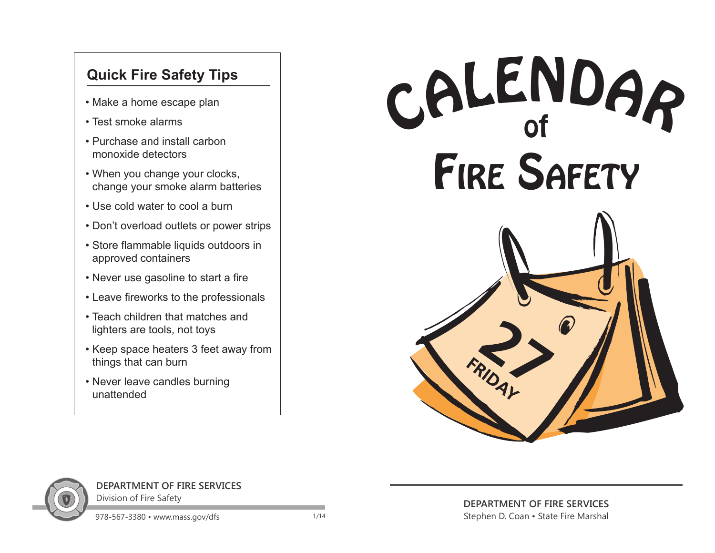## **Quick Fire Safety Tips**

- Make a home escape plan
- Test smoke alarms
- Purchase and install carbon monoxide detectors
- When you change your clocks, change your smoke alarm batteries
- Use cold water to cool a burn
- Don't overload outlets or power strips
- Store flammable liquids outdoors in approved containers
- Never use gasoline to start a fire
- Leave fireworks to the professionals
- Teach children that matches and lighters are tools, not toys
- Keep space heaters 3 feet away from things that can burn
- Never leave candles burning unattended





**DEPARTMENT OF FIRE SERVICES**  Division of Fire Safety

**DEPARTMENT OF FIRE SERVICES**  Stephen D. Coan • State Fire Marshal